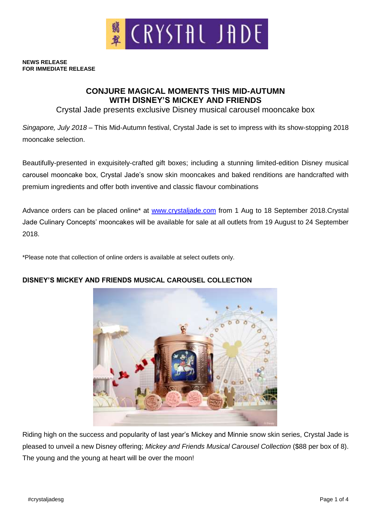

#### **NEWS RELEASE FOR IMMEDIATE RELEASE**

# **CONJURE MAGICAL MOMENTS THIS MID-AUTUMN WITH DISNEY'S MICKEY AND FRIENDS**

Crystal Jade presents exclusive Disney musical carousel mooncake box

*Singapore, July 2018* – This Mid-Autumn festival, Crystal Jade is set to impress with its show-stopping 2018 mooncake selection.

Beautifully-presented in exquisitely-crafted gift boxes; including a stunning limited-edition Disney musical carousel mooncake box, Crystal Jade's snow skin mooncakes and baked renditions are handcrafted with premium ingredients and offer both inventive and classic flavour combinations

Advance orders can be placed online\* at [www.crystaljade.com](http://www.crystaljade.com/) from 1 Aug to 18 September 2018.Crystal Jade Culinary Concepts' mooncakes will be available for sale at all outlets from 19 August to 24 September 2018.

\*Please note that collection of online orders is available at select outlets only.



# **DISNEY'S MICKEY AND FRIENDS MUSICAL CAROUSEL COLLECTION**

Riding high on the success and popularity of last year's Mickey and Minnie snow skin series, Crystal Jade is pleased to unveil a new Disney offering; *Mickey and Friends Musical Carousel Collection* (\$88 per box of 8). The young and the young at heart will be over the moon!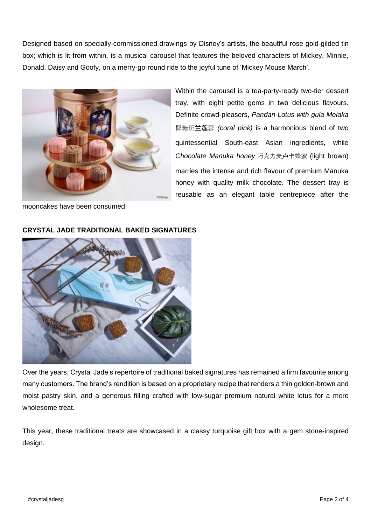Designed based on specially-commissioned drawings by Disney's artists, the beautiful rose gold-gilded tin box; which is lit from within, is a musical carousel that features the beloved characters of Mickey, Minnie, Donald, Daisy and Goofy, on a merry-go-round ride to the joyful tune of 'Mickey Mouse March'.



Within the carousel is a tea-party-ready two-tier dessert tray, with eight petite gems in two delicious flavours. Definite crowd-pleasers, *Pandan Lotus with gula Melaka*  椰糖班兰莲蓉 *(coral pink)* is a harmonious blend of two quintessential South-east Asian ingredients, while *Chocolate Manuka honey* 巧克力麦卢卡蜂蜜 (light brown) marries the intense and rich flavour of premium Manuka honey with quality milk chocolate. The dessert tray is reusable as an elegant table centrepiece after the

mooncakes have been consumed!



### **CRYSTAL JADE TRADITIONAL BAKED SIGNATURES**

Over the years, Crystal Jade's repertoire of traditional baked signatures has remained a firm favourite among many customers. The brand's rendition is based on a proprietary recipe that renders a thin golden-brown and moist pastry skin, and a generous filling crafted with low-sugar premium natural white lotus for a more wholesome treat.

This year, these traditional treats are showcased in a classy turquoise gift box with a gem stone-inspired design.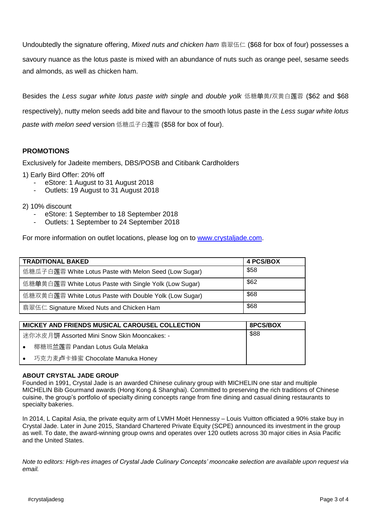Undoubtedly the signature offering, *Mixed nuts and chicken ham* 翡翠伍仁 (\$68 for box of four) possesses a savoury nuance as the lotus paste is mixed with an abundance of nuts such as orange peel, sesame seeds and almonds, as well as chicken ham.

Besides the *Less sugar white lotus paste with single* and *double yolk* 低糖单黄/双黄白莲蓉 (\$62 and \$68 respectively), nutty melon seeds add bite and flavour to the smooth lotus paste in the *Less sugar white lotus paste with melon seed* version 低糖瓜子白莲蓉 (\$58 for box of four).

## **PROMOTIONS**

Exclusively for Jadeite members, DBS/POSB and Citibank Cardholders

- 1) Early Bird Offer: 20% off
	- eStore: 1 August to 31 August 2018
	- Outlets: 19 August to 31 August 2018

### 2) 10% discount

- eStore: 1 September to 18 September 2018
- Outlets: 1 September to 24 September 2018

For more information on outlet locations, please log on to [www.crystaljade.com.](http://www.crystaljade.com/)

| <b>TRADITIONAL BAKED</b>                               | 4 PCS/BOX |
|--------------------------------------------------------|-----------|
| 低糖瓜子白莲蓉 White Lotus Paste with Melon Seed (Low Sugar)  | \$58      |
| 低糖单黄白莲蓉 White Lotus Paste with Single Yolk (Low Sugar) | \$62      |
| 低糖双黄白莲蓉 White Lotus Paste with Double Yolk (Low Sugar) | \$68      |
| 翡翠伍仁 Signature Mixed Nuts and Chicken Ham              | \$68      |

| <b>MICKEY AND FRIENDS MUSICAL CAROUSEL COLLECTION</b> | <b>8PCS/BOX</b> |
|-------------------------------------------------------|-----------------|
| 迷你冰皮月饼 Assorted Mini Snow Skin Mooncakes: -           | \$88            |
| 椰糖班兰莲蓉 Pandan Lotus Gula Melaka<br>$\bullet$          |                 |
| • 巧克力麦卢卡蜂蜜 Chocolate Manuka Honey                     |                 |

#### **ABOUT CRYSTAL JADE GROUP**

Founded in 1991, Crystal Jade is an awarded Chinese culinary group with MICHELIN one star and multiple MICHELIN Bib Gourmand awards (Hong Kong & Shanghai). Committed to preserving the rich traditions of Chinese cuisine, the group's portfolio of specialty dining concepts range from fine dining and casual dining restaurants to specialty bakeries.

In 2014, L Capital Asia, the private equity arm of LVMH Moët Hennessy – Louis Vuitton officiated a 90% stake buy in Crystal Jade. Later in June 2015, Standard Chartered Private Equity (SCPE) announced its investment in the group as well. To date, the award-winning group owns and operates over 120 outlets across 30 major cities in Asia Pacific and the United States.

*Note to editors: High-res images of Crystal Jade Culinary Concepts' mooncake selection are available upon request via email.*